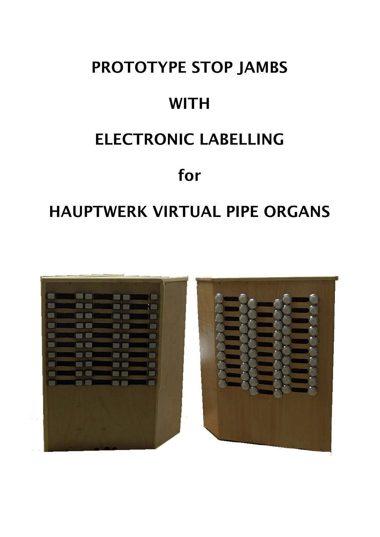# **PROTOTYPE STOP JAMBS WITH ELECTRONIC LABELLING for**

# **HAUPTWERK VIRTUAL PIPE ORGANS**

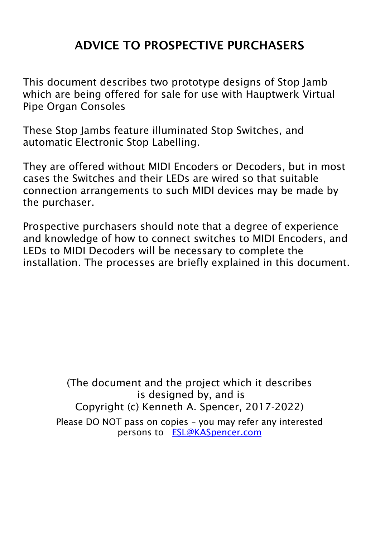# **ADVICE TO PROSPECTIVE PURCHASERS**

This document describes two prototype designs of Stop Jamb which are being offered for sale for use with Hauptwerk Virtual Pipe Organ Consoles

These Stop Jambs feature illuminated Stop Switches, and automatic Electronic Stop Labelling.

They are offered without MIDI Encoders or Decoders, but in most cases the Switches and their LEDs are wired so that suitable connection arrangements to such MIDI devices may be made by the purchaser.

Prospective purchasers should note that a degree of experience and knowledge of how to connect switches to MIDI Encoders, and LEDs to MIDI Decoders will be necessary to complete the installation. The processes are briefly explained in this document.

> (The document and the project which it describes is designed by, and is Copyright (c) Kenneth A. Spencer, 2017-2022) Please DO NOT pass on copies – you may refer any interested persons to [ESL@KASpencer.com](mailto:ESL@KASpencer.com)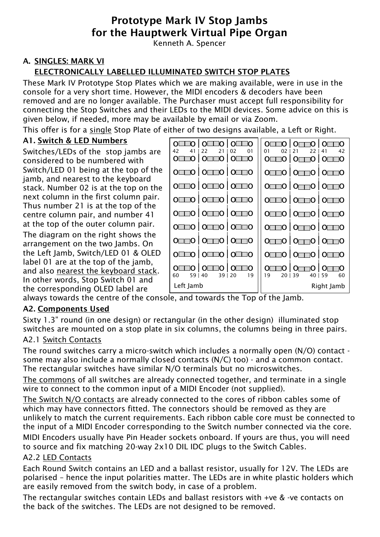# **Prototype Mark IV Stop Jambs for the Hauptwerk Virtual Pipe Organ**

Kenneth A. Spencer

# **A. SINGLES: MARK VI**

# **ELECTRONICALLY LABELLED ILLUMINATED SWITCH STOP PLATES**

These Mark IV Prototype Stop Plates which we are making available, were in use in the console for a very short time. However, the MIDI encoders & decoders have been removed and are no longer available. The Purchaser must accept full responsibility for connecting the Stop Switches and their LEDs to the MIDI devices. Some advice on this is given below, if needed, more may be available by email or via Zoom.

This offer is for a single Stop Plate of either of two designs available, a Left or Right.

#### **A1. Switch & LED Numbers**

Switches/LEDs of the stop jambs are considered to be numbered with Switch/LED 01 being at the top of the jamb, and nearest to the keyboard stack. Number 02 is at the top on the next column in the first column pair. Thus number 21 is at the top of the centre column pair, and number 41 at the top of the outer column pair.

The diagram on the right shows the arrangement on the two Jambs. On the Left Jamb, Switch/LED 01 & OLED label 01 are at the top of the jamb, and also nearest the keyboard stack. In other words, Stop Switch 01 and the corresponding OLED label are



always towards the centre of the console, and towards the Top of the Jamb.

#### **A2. Components Used**

Sixty 1.3" round (in one design) or rectangular (in the other design) illuminated stop switches are mounted on a stop plate in six columns, the columns being in three pairs.

#### A2.1 Switch Contacts

The round switches carry a micro-switch which includes a normally open (N/O) contact some may also include a normally closed contacts (N/C) too) - and a common contact. The rectangular switches have similar N/O terminals but no microswitches.

The commons of all switches are already connected together, and terminate in a single wire to connect to the common input of a MIDI Encoder (not supplied).

The Switch N/O contacts are already connected to the cores of ribbon cables some of which may have connectors fitted. The connectors should be removed as they are unlikely to match the current requirements. Each ribbon cable core must be connected to the input of a MIDI Encoder corresponding to the Switch number connected via the core.

MIDI Encoders usually have Pin Header sockets onboard. If yours are thus, you will need to source and fix matching 20-way 2x10 DIL IDC plugs to the Switch Cables.

#### A2.2 LED Contacts

Each Round Switch contains an LED and a ballast resistor, usually for 12V. The LEDs are polarised – hence the input polarities matter. The LEDs are in white plastic holders which are easily removed from the switch body, in case of a problem.

The rectangular switches contain LEDs and ballast resistors with +ve & -ve contacts on the back of the switches. The LEDs are not designed to be removed.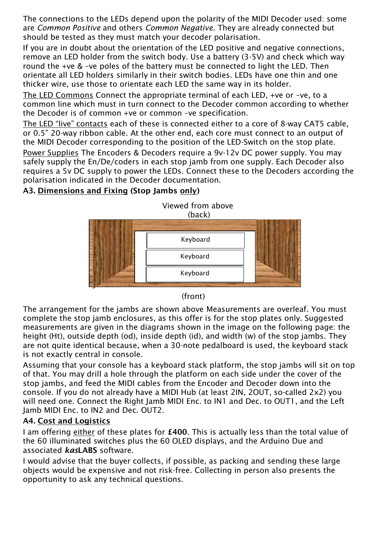The connections to the LEDs depend upon the polarity of the MIDI Decoder used: some are *Common Positive* and others *Common Negative*. They are already connected but should be tested as they must match your decoder polarisation.

If you are in doubt about the orientation of the LED positive and negative connections, remove an LED holder from the switch body. Use a battery (3-5V) and check which way round the +ve & –ve poles of the battery must be connected to light the LED. Then orientate all LED holders similarly in their switch bodies. LEDs have one thin and one thicker wire, use those to orientate each LED the same way in its holder.

The LED Commons Connect the appropriate terminal of each LED, +ve or –ve, to a common line which must in turn connect to the Decoder common according to whether the Decoder is of common +ve or common –ve specification.

The LED "live" contacts each of these is connected either to a core of 8-way CAT5 cable, or 0.5" 20-way ribbon cable. At the other end, each core must connect to an output of the MIDI Decoder corresponding to the position of the LED-Switch on the stop plate. Power Supplies The Encoders & Decoders require a 9v-12v DC power supply. You may safely supply the En/De/coders in each stop jamb from one supply. Each Decoder also requires a 5v DC supply to power the LEDs. Connect these to the Decoders according the polarisation indicated in the Decoder documentation.

# **A3. Dimensions and Fixing (Stop Jambs only)**



#### (front)

The arrangement for the jambs are shown above Measurements are overleaf. You must complete the stop jamb enclosures, as this offer is for the stop plates only. Suggested measurements are given in the diagrams shown in the image on the following page: the height (Ht), outside depth (od), inside depth (id), and width (w) of the stop jambs. They are not quite identical because, when a 30-note pedalboard is used, the keyboard stack is not exactly central in console.

Assuming that your console has a keyboard stack platform, the stop jambs will sit on top of that. You may drill a hole through the platform on each side under the cover of the stop jambs, and feed the MIDI cables from the Encoder and Decoder down into the console. If you do not already have a MIDI Hub (at least 2IN, 2OUT, so-called 2x2) you will need one. Connect the Right Jamb MIDI Enc. to IN1 and Dec. to OUT1, and the Left Jamb MIDI Enc. to IN2 and Dec. OUT2.

#### **A4. Cost and Logistics**

I am offering either of these plates for **£400**. This is actually less than the total value of the 60 illuminated switches plus the 60 OLED displays, and the Arduino Due and associated *kas***LABS** software.

I would advise that the buyer collects, if possible, as packing and sending these large objects would be expensive and not risk-free. Collecting in person also presents the opportunity to ask any technical questions.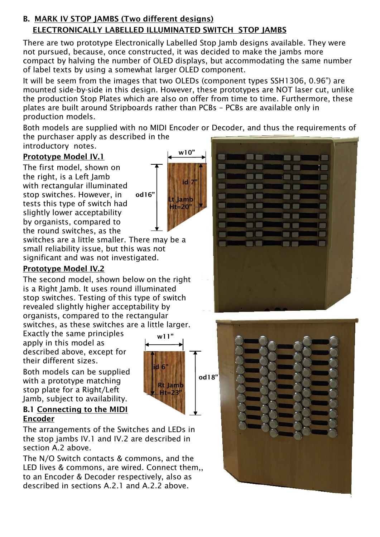# **B. MARK IV STOP JAMBS (Two different designs) ELECTRONICALLY LABELLED ILLUMINATED SWITCH STOP JAMBS**

There are two prototype Electronically Labelled Stop Jamb designs available. They were not pursued, because, once constructed, it was decided to make the jambs more compact by halving the number of OLED displays, but accommodating the same number of label texts by using a somewhat larger OLED component.

It will be seem from the images that two OLEDs (component types SSH1306, 0.96") are mounted side-by-side in this design. However, these prototypes are NOT laser cut, unlike the production Stop Plates which are also on offer from time to time. Furthermore, these plates are built around Stripboards rather than PCBs – PCBs are available only in production models.

Both models are supplied with no MIDI Encoder or Decoder, and thus the requirements of the purchaser apply as described in the

**w10"**

**id 7"**

**Lt Jamb Ht=20"**

**Rt Jamb Ht=23"**

**w11"**

**id 6"**

introductory notes.

# **Prototype Model IV.1**

The first model, shown on the right, is a Left Jamb with rectangular illuminated stop switches. However, in tests this type of switch had slightly lower acceptability by organists, compared to the round switches, as the **od16"**

switches are a little smaller. There may be a small reliability issue, but this was not significant and was not investigated.

# **Prototype Model IV.2**

The second model, shown below on the right is a Right Jamb. It uses round illuminated stop switches. Testing of this type of switch revealed slightly higher acceptability by organists, compared to the rectangular switches, as these switches are a little larger.

Exactly the same principles apply in this model as described above, except for their different sizes.

Both models can be supplied with a prototype matching stop plate for a Right/Left Jamb, subject to availability.

# **B.1 Connecting to the MIDI Encoder**

The arrangements of the Switches and LEDs in the stop jambs IV.1 and IV.2 are described in section A.2 above.

The N/O Switch contacts & commons, and the LED lives & commons, are wired. Connect them,, to an Encoder & Decoder respectively, also as described in sections A.2.1 and A.2.2 above.



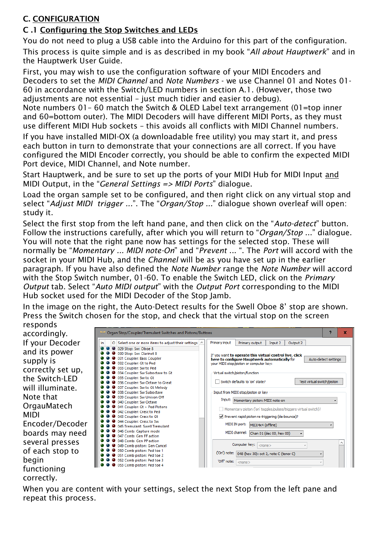# **C. CONFIGURATION**

# **C .1 Configuring the Stop Switches and LEDs**

You do not need to plug a USB cable into the Arduino for this part of the configuration. This process is quite simple and is as described in my book "*All about Hauptwerk*" and in the Hauptwerk User Guide.

First, you may wish to use the configuration software of your MIDI Encoders and Decoders to set the *MIDI Channel* and *Note Numbers* - we use Channel 01 and Notes 01- 60 in accordance with the Switch/LED numbers in section A.1. (However, those two adjustments are not essential – just much tidier and easier to debug).

Note numbers 01– 60 match the Switch & OLED Label text arrangement (01=top inner and 60=bottom outer). The MIDI Decoders will have different MIDI Ports, as they must use different MIDI Hub sockets – this avoids all conflicts with MIDI Channel numbers.

If you have installed MIDI-OX (a downloadable free utility) you may start it, and press each button in turn to demonstrate that your connections are all correct. If you have configured the MIDI Encoder correctly, you should be able to confirm the expected MIDI Port device, MIDI Channel, and Note number.

Start Hauptwerk, and be sure to set up the ports of your MIDI Hub for MIDI Input and MIDI Output, in the "*General Settings => MIDI Ports*" dialogue.

Load the organ sample set to be configured, and then right click on any virtual stop and select "*Adjust MIDI trigger ...*". The "*Organ/Stop ...*" dialogue shown overleaf will open: study it.

Select the first stop from the left hand pane, and then click on the "*Auto-detect*" button. Follow the instructions carefully, after which you will return to "*Organ/Stop* ..." dialogue. You will note that the right pane now has settings for the selected stop. These will normally be "*Momentary ... MIDI note-On*" and "*Prevent* ... ". The *Port* will accord with the socket in your MIDI Hub, and the *Channel* will be as you have set up in the earlier paragraph. If you have also defined the *Note Number* range the *Note Number* will accord with the Stop Switch number, 01-60. To enable the Switch LED, click on the *Primary Output* tab. Select "*Auto MIDI output*" with the *Output Port* corresponding to the MIDI Hub socket used for the MIDI Decoder of the Stop Jamb.

In the image on the right, the Auto-Detect results for the Swell Oboe 8' stop are shown. Press the Switch chosen for the stop, and check that the virtual stop on the screen

responds accordingly. If your Decoder and its power supply is correctly set up, the Switch-LED will illuminate. Note that **OrgauMatech** MIDI Encoder/Decoder boards may need several presses of each stop to begin functioning correctly.



When you are content with your settings, select the next Stop from the left pane and repeat this process.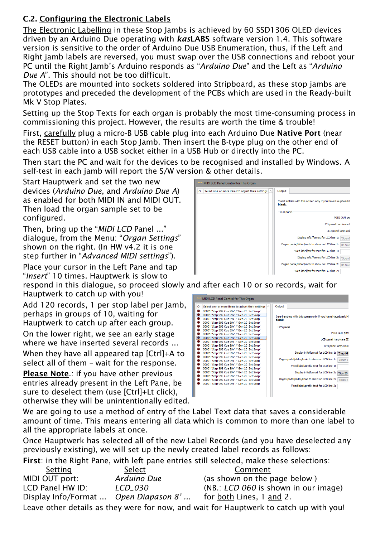# **C.2. Configuring the Electronic Labels**

The Electronic Labelling in these Stop Jambs is achieved by 60 SSD1306 OLED devices driven by an Arduino Due operating with *kas***LABS** software version 1.4. This software version is sensitive to the order of Arduino Due USB Enumeration, thus, if the Left and Right jamb labels are reversed, you must swap over the USB connections and reboot your PC until the Right Jamb's Arduino responds as "*Arduino Due*" and the Left as "*Arduino Due A*". This should not be too difficult.

The OLEDs are mounted into sockets soldered into Stripboard, as these stop jambs are prototypes and preceded the development of the PCBs which are used in the Ready-built Mk V Stop Plates.

Setting up the Stop Texts for each organ is probably the most time-consuming process in commissioning this project. However, the results are worth the time & trouble!

First, carefully plug a micro-B USB cable plug into each Arduino Due **Native Port** (near the RESET button) in each Stop Jamb. Then insert the B-type plug on the other end of each USB cable into a USB socket either in a USB Hub or directly into the PC.

Then start the PC and wait for the devices to be recognised and installed by Windows. A self-test in each jamb will report the S/W version & other details.

Start Hauptwerk and set the two new devices (*Arduino Due*, and *Arduino Due A*) as enabled for both MIDI IN and MIDI OUT. Then load the organ sample set to be configured.

Then, bring up the "*MIDI LCD* Panel ..." dialogue, from the Menu: "*Organ Settings*" shown on the right. (In HW v4.2 it is one step further in "*Advanced MIDI settings*").

Place your cursor in the Left Pane and tap "*Insert*" 10 times. Hauptwerk is slow to

respond in this dialogue, so proceed slowly and after each 10 or so records, wait for Hauptwerk to catch up with you!

Add 120 records, 1 per stop label per Jamb. perhaps in groups of 10, waiting for Hauptwerk to catch up after each group.

On the lower right, we see an early stage where we have inserted several records ...

When they have all appeared tap [Ctrl]+A to select all of them – wait for the response.

**Please Note**.: if you have other previous entries already present in the Left Pane, be sure to deselect them (use [Ctrl]+Lt click), otherwise they will be unintentionally edited.





We are going to use a method of entry of the Label Text data that saves a considerable amount of time. This means entering all data which is common to more than one label to all the appropriate labels at once.

Once Hauptwerk has selected all of the new Label Records (and you have deselected any previously existing), we will set up the newly created label records as follows:

**First**: in the Right Pane, with left pane entries still selected, make these selections:

| Setting                                                                                | Select      | Comment                              |  |  |
|----------------------------------------------------------------------------------------|-------------|--------------------------------------|--|--|
| MIDI OUT port:                                                                         | Arduino Due | (as shown on the page below)         |  |  |
| LCD Panel HW ID:                                                                       | LCD 030     | (NB.: LCD 060 is shown in our image) |  |  |
| Display Info/Format  Open Diapason 8'                                                  |             | for both Lines, 1 and 2.             |  |  |
| Leave other details as they were for now, and wait for Hauptwerk to catch up with you! |             |                                      |  |  |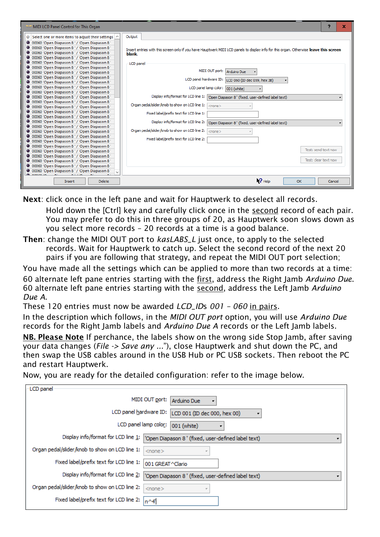| MIDI LCD Panel Control for This Organ                                                          | x                                                                                                                                      |
|------------------------------------------------------------------------------------------------|----------------------------------------------------------------------------------------------------------------------------------------|
| O Select one or more items to adjust their settings $\sim$                                     | Output                                                                                                                                 |
| O 00060 'Open Diapason 8' / 'Open Diapason 8'                                                  |                                                                                                                                        |
| O 00060 'Open Diapason 8' / 'Open Diapason 8'                                                  | Insert entries with this screen only if you have Hauptwerk MIDI LCD panels to display info for this organ. Otherwise leave this screen |
| O 00060 'Open Diapason 8' / 'Open Diapason 8'                                                  | blank.                                                                                                                                 |
| O 00060 'Open Diapason 8' / 'Open Diapason 8'                                                  |                                                                                                                                        |
| O 00060 'Open Diapason 8' / 'Open Diapason 8'                                                  | LCD panel                                                                                                                              |
| O 00060 'Open Diapason 8' / 'Open Diapason 8'                                                  |                                                                                                                                        |
| O 00060 'Open Diapason 8' / 'Open Diapason 8'                                                  | MIDI OUT port:<br>Arduino Due                                                                                                          |
| O 00060 'Open Diapason 8' / 'Open Diapason 8'                                                  | LCD panel hardware ID: LCD 060 (ID dec 059, hex 3B)                                                                                    |
| O 00060 'Open Diapason 8' / 'Open Diapason 8'                                                  |                                                                                                                                        |
| O 00060 'Open Diapason 8' / 'Open Diapason 8'                                                  | LCD panel lamp color: 001 (white)                                                                                                      |
| O 00060 'Open Diapason 8' / 'Open Diapason 8'                                                  |                                                                                                                                        |
| O 00060 'Open Diapason 8' / 'Open Diapason 8'                                                  | Display info/format for LCD line 1:   'Open Diapason 8' (fixed, user-defined label text)                                               |
| O 00060 'Open Diapason 8' / 'Open Diapason 8'                                                  | Organ pedal/slider/knob to show on LCD line 1:<br>$<$ none $>$                                                                         |
| O 00060 'Open Diapason 8' / 'Open Diapason 8'                                                  |                                                                                                                                        |
| O 00060 'Open Diapason 8' / 'Open Diapason 8'                                                  | Fixed label/prefix text for LCD line 1:                                                                                                |
| O 00060 'Open Diapason 8' / 'Open Diapason 8'                                                  |                                                                                                                                        |
| O 00060 'Open Diapason 8' / 'Open Diapason 8'                                                  | Display info/format for LCD line 2:<br>'Open Diapason 8' (fixed, user-defined label text)                                              |
| O 00060 'Open Diapason 8' / 'Open Diapason 8'                                                  | Organ pedal/slider/knob to show on LCD line 2:                                                                                         |
| O 00060 'Open Diapason 8' / 'Open Diapason 8'                                                  | $<$ none $>$                                                                                                                           |
| O 00060 'Open Diapason 8' / 'Open Diapason 8'                                                  | Fixed label/prefix text for LCD line 2:                                                                                                |
| O 00060 'Open Diapason 8' / 'Open Diapason 8'<br>O 00060 'Open Diapason 8' / 'Open Diapason 8' |                                                                                                                                        |
| O 00060 'Open Diapason 8' / 'Open Diapason 8'                                                  | Test: send text now                                                                                                                    |
| O 00060 'Open Diapason 8' / 'Open Diapason 8'                                                  |                                                                                                                                        |
| O 00060 'Open Diapason 8' / 'Open Diapason 8'                                                  | Test: clear text now                                                                                                                   |
| O 00060 'Open Diapason 8' / 'Open Diapason 8'                                                  |                                                                                                                                        |
| O 00060 'Open Diapason 8' / 'Open Diapason 8'                                                  |                                                                                                                                        |
|                                                                                                |                                                                                                                                        |
| <b>Delete</b><br><b>Insert</b>                                                                 | $\mathsf{P}$ Help<br>OK<br>Cancel                                                                                                      |

**Next**: click once in the left pane and wait for Hauptwerk to deselect all records. Hold down the [Ctrl] key and carefully click once in the second record of each pair. You may prefer to do this in three groups of 20, as Hauptwerk soon slows down as you select more records – 20 records at a time is a good balance.

**Then**: change the MIDI OUT port to *kasLABS\_L* just once, to apply to the selected records. Wait for Hauptwerk to catch up. Select the second record of the next 20 pairs if you are following that strategy, and repeat the MIDI OUT port selection;

You have made all the settings which can be applied to more than two records at a time: 60 alternate left pane entries starting with the first, address the Right Jamb *Arduino Due*. 60 alternate left pane entries starting with the second, address the Left Jamb *Arduino Due A*.

These 120 entries must now be awarded *LCD\_ID*s *001 – 060* in pairs.

In the description which follows, in the *MIDI OUT port* option, you will use *Arduino Due* records for the Right Jamb labels and *Arduino Due A* records or the Left Jamb labels.

**NB. Please Note** If perchance, the labels show on the wrong side Stop Jamb, after saving your data changes (*File -> Save any ...*"), close Hauptwerk and shut down the PC, and then swap the USB cables around in the USB Hub or PC USB sockets. Then reboot the PC and restart Hauptwerk.

Now, you are ready for the detailed configuration: refer to the image below.

| LCD panel                                                   |                                                     |  |
|-------------------------------------------------------------|-----------------------------------------------------|--|
| MIDI OUT port:  <br>Arduino Due<br>٠                        |                                                     |  |
| LCD panel hardware ID:<br>LCD 001 (ID dec 000, hex 00)<br>٠ |                                                     |  |
| LCD panel lamp color:                                       | 001 (white)                                         |  |
| Display info/format for LCD line 1:                         | 'Open Diapason 8 ' (fixed, user-defined label text) |  |
| Organ pedal/slider/knob to show on LCD line 1:              | $<$ none $>$                                        |  |
| Fixed label/prefix text for LCD line 1:                     | 001 GREAT ^Clario                                   |  |
| Display info/format for LCD line 2:                         | 'Open Diapason 8 ' (fixed, user-defined label text) |  |
| Organ pedal/slider/knob to show on LCD line 2:              | $<$ none $>$<br>$\overline{v}$                      |  |
| Fixed label/prefix text for LCD line 2:                     | $n^{\wedge}4'$                                      |  |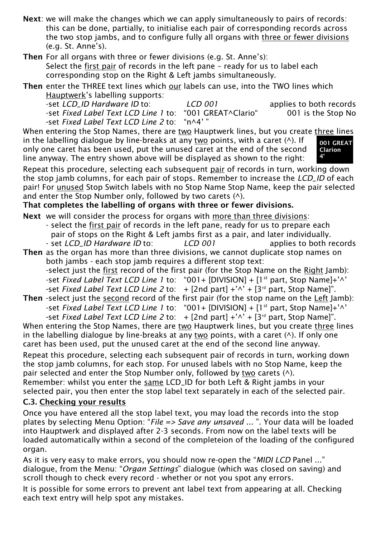**Next**: we will make the changes which we can apply simultaneously to pairs of records: this can be done, partially, to initialise each pair of corresponding records across the two stop jambs, and to configure fully all organs with three or fewer divisions (e.g. St. Anne's).

**Then** For all organs with three or fewer divisions (e.g. St. Anne's): Select the first pair of records in the left pane – ready for us to label each corresponding stop on the Right & Left jambs simultaneously.

**Then** enter the THREE text lines which our labels can use, into the TWO lines which Hauptwerk's labelling supports:

-set *LCD\_ID Hardware ID* to: *LCD 001* applies to both records -set *Fixed Label Text LCD Line 1* to: "001 GREAT^Clario" 001 is the Stop No<br>-set *Fixed Label Text LCD Line 2* to: "n^4'" -set *Fixed Label Text LCD Line 2 to:* 

When entering the Stop Names, there are two Hauptwerk lines, but you create three lines in the labelling dialogue by line-breaks at any two points, with a caret  $($  $\wedge$ ). If only one caret has been used, put the unused caret at the end of the second line anyway. The entry shown above will be displayed as shown to the right:



Repeat this procedure, selecting each subsequent pair of records in turn, working down the stop jamb columns, for each pair of stops. Remember to increase the *LCD\_ID* of each pair! For unused Stop Switch labels with no Stop Name Stop Name, keep the pair selected and enter the Stop Number only, followed by two carets (^).

#### **That completes the labelling of organs with three or fewer divisions.**

**Next** we will consider the process for organs with more than three divisions:

- select the first pair of records in the left pane, ready for us to prepare each pair of stops on the Right & Left jambs first as a pair, and later individually.
- set *LCD\_ID Hardware ID* to: *LCD 001* applies to both records **Then** as the organ has more than three divisions, we cannot duplicate stop names on both jambs - each stop jamb requires a different stop text:

-select just the first record of the first pair (for the Stop Name on the Right Jamb): -set *Fixed Label Text LCD Line 1* to: "001+ [DIVISION] + [1<sup>st</sup> part, Stop Name]+'^' **-**set *Fixed Label Text LCD Line 2* to: + [2nd part] +'^' + [3rd part, Stop Name]".

**Then** -select just the second record of the first pair (for the stop name on the Left Jamb): -set *Fixed Label Text LCD Line 1* to: "001+ [DIVISION] + [1<sup>st</sup> part, Stop Name]+'^' -set *Fixed Label Text LCD Line 2* to:  $+$  [2nd part]  $+'\wedge' +$  [3<sup>rd</sup> part, Stop Name]".

When entering the Stop Names, there are two Hauptwerk lines, but you create three lines in the labelling dialogue by line-breaks at any two points, with a caret  $($   $\wedge$ ). If only one caret has been used, put the unused caret at the end of the second line anyway.

Repeat this procedure, selecting each subsequent pair of records in turn, working down the stop jamb columns, for each stop. For unused labels with no Stop Name, keep the pair selected and enter the Stop Number only, followed by two carets (^). Remember: whilst you enter the same LCD\_ID for both Left & Right jambs in your selected pair, you then enter the stop label text separately in each of the selected pair.

#### **C.3. Checking your results**

Once you have entered all the stop label text, you may load the records into the stop plates by selecting Menu Option: "*File => Save any unsaved ...* ". Your data will be loaded into Hauptwerk and displayed after 2-3 seconds. From now on the label texts will be loaded automatically within a second of the completeion of the loading of the configured organ.

As it is very easy to make errors, you should now re-open the "*MIDI LCD* Panel ..." dialogue, from the Menu: "*Organ Settings*" dialogue (which was closed on saving) and scroll though to check every record - whether or not you spot any errors.

It is possible for some errors to prevent ant label text from appearing at all. Checking each text entry will help spot any mistakes.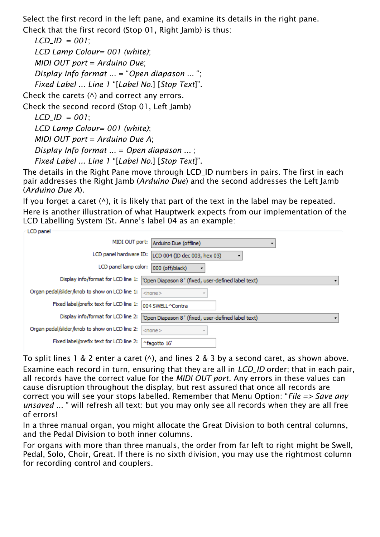Select the first record in the left pane, and examine its details in the right pane. Check that the first record (Stop 01, Right Jamb) is thus:

*LCD\_ID* = *001*; *LCD Lamp Colour= 001 (white)*; *MIDI OUT port* = *Arduino Due*; *Display Info format ...* = "*Open diapason ...* "; *Fixed Label ... Line 1* "[*Label No.*] [*Stop Text*]".

Check the carets  $($ <sup> $\wedge$ </sup>) and correct any errors.

Check the second record (Stop 01, Left Jamb)

*LCD\_ID* = *001*;

*LCD Lamp Colour= 001 (white)*;

*MIDI OUT port* = *Arduino Due A*;

*Display Info format ...* = *Open diapason ...* ;

*Fixed Label ... Line 1* "[*Label No.*] [*Stop Text*]".

The details in the Right Pane move through LCD ID numbers in pairs. The first in each pair addresses the Right Jamb (*Arduino Due*) and the second addresses the Left Jamb (*Arduino Due A*).

If you forget a caret  $(\wedge)$ , it is likely that part of the text in the label may be repeated. Here is another illustration of what Hauptwerk expects from our implementation of the LCD Labelling System (St. Anne's label 04 as an example:

| LCD panel                                                                                  |
|--------------------------------------------------------------------------------------------|
| MIDI OUT port:  <br>Arduino Due (offline)                                                  |
|                                                                                            |
| LCD panel hardware ID:<br>LCD 004 (ID dec 003, hex 03)                                     |
|                                                                                            |
| LCD panel lamp color:<br>000 (off/black)                                                   |
|                                                                                            |
| Display info/format for LCD line 1:<br>'Open Diapason 8 ' (fixed, user-defined label text) |
|                                                                                            |
| Organ pedal/slider/knob to show on LCD line 1:<br>$<$ none $>$                             |
|                                                                                            |
| Fixed label/prefix text for LCD line 1:<br>004 SWELL ^Contra                               |
|                                                                                            |
| Display info/format for LCD line 2:<br>'Open Diapason 8 ' (fixed, user-defined label text) |
|                                                                                            |
| Organ pedal/slider/knob to show on LCD line 2:<br>$<$ none $>$                             |
|                                                                                            |
| Fixed label/prefix text for LCD line 2:                                                    |
| ^fagotto 16'                                                                               |
|                                                                                            |

To split lines 1 & 2 enter a caret  $(\wedge)$ , and lines 2 & 3 by a second caret, as shown above. Examine each record in turn, ensuring that they are all in *LCD\_ID* order; that in each pair, all records have the correct value for the *MIDI OUT port*. Any errors in these values can cause disruption throughout the display, but rest assured that once all records are correct you will see your stops labelled. Remember that Menu Option: "*File => Save any unsaved ...* " will refresh all text: but you may only see all records when they are all free of errors!

In a three manual organ, you might allocate the Great Division to both central columns, and the Pedal Division to both inner columns.

For organs with more than three manuals, the order from far left to right might be Swell, Pedal, Solo, Choir, Great. If there is no sixth division, you may use the rightmost column for recording control and couplers.